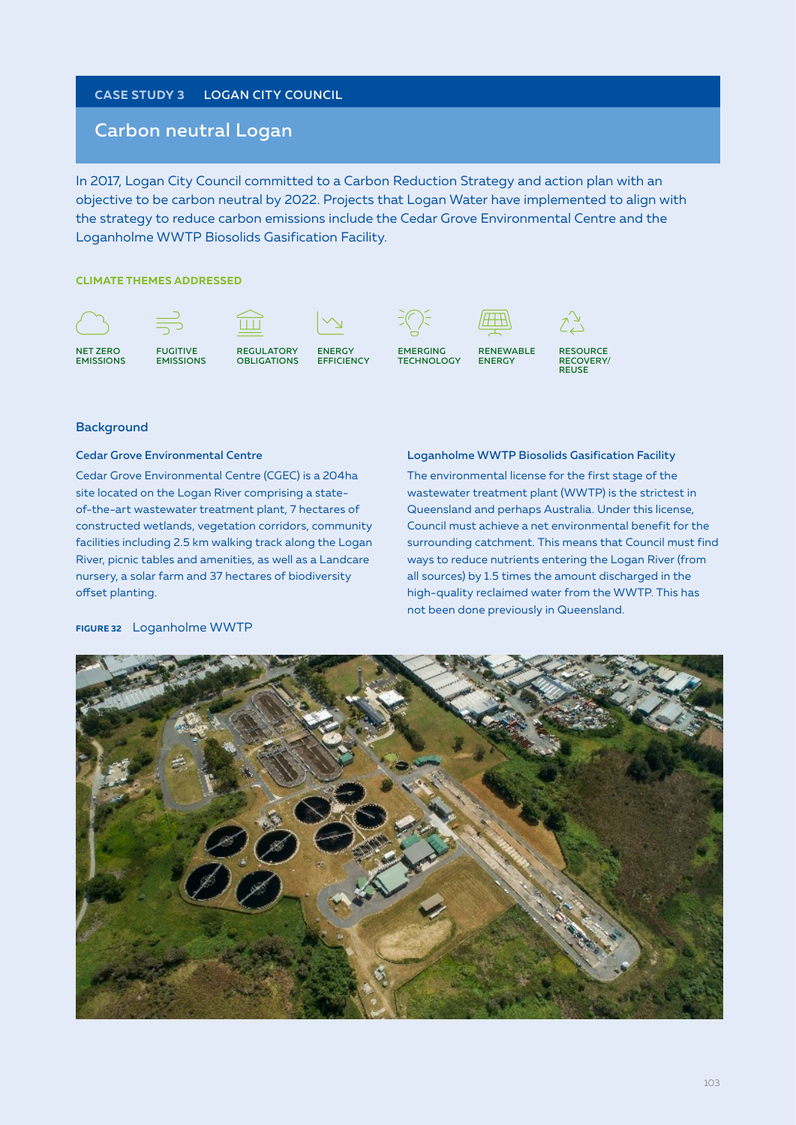## **Case study 3** LOGAN CITY COUNCIL

# Carbon neutral Logan

In 2017, Logan City Council committed to a Carbon Reduction Strategy and action plan with an objective to be carbon neutral by 2022. Projects that Logan Water have implemented to align with the strategy to reduce carbon emissions include the Cedar Grove Environmental Centre and the Loganholme WWTP Biosolids Gasification Facility.

#### **CLIMATE THEMES ADDRESSED**



RESOURCE RECOVERY/ REUSE

#### **Background**

#### Cedar Grove Environmental Centre

Cedar Grove Environmental Centre (CGEC) is a 204ha site located on the Logan River comprising a stateof-the-art wastewater treatment plant, 7 hectares of constructed wetlands, vegetation corridors, community facilities including 2.5 km walking track along the Logan River, picnic tables and amenities, as well as a Landcare nursery, a solar farm and 37 hectares of biodiversity offset planting.

#### Loganholme WWTP Biosolids Gasification Facility

The environmental license for the first stage of the wastewater treatment plant (WWTP) is the strictest in Queensland and perhaps Australia. Under this license, Council must achieve a net environmental benefit for the surrounding catchment. This means that Council must find ways to reduce nutrients entering the Logan River (from all sources) by 1.5 times the amount discharged in the high-quality reclaimed water from the WWTP. This has not been done previously in Queensland.



#### **Figure 32** Loganholme WWTP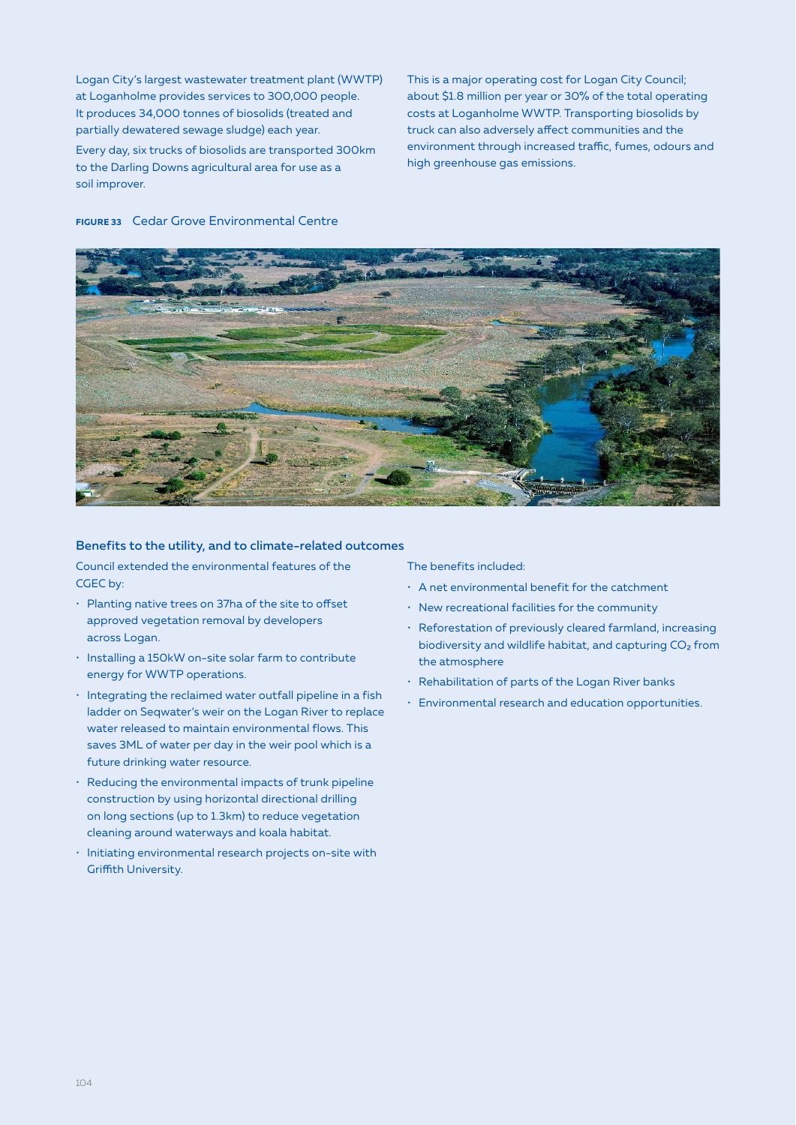Logan City's largest wastewater treatment plant (WWTP) at Loganholme provides services to 300,000 people. It produces 34,000 tonnes of biosolids (treated and partially dewatered sewage sludge) each year. Every day, six trucks of biosolids are transported 300km to the Darling Downs agricultural area for use as a soil improver.

This is a major operating cost for Logan City Council; about \$1.8 million per year or 30% of the total operating costs at Loganholme WWTP. Transporting biosolids by truck can also adversely affect communities and the environment through increased traffic, fumes, odours and high greenhouse gas emissions.

#### **Figure 33** Cedar Grove Environmental Centre



#### Benefits to the utility, and to climate-related outcomes

Council extended the environmental features of the CGEC by:

- Planting native trees on 37ha of the site to offset approved vegetation removal by developers across Logan.
- Installing a 150kW on-site solar farm to contribute energy for WWTP operations.
- Integrating the reclaimed water outfall pipeline in a fish ladder on Seqwater's weir on the Logan River to replace water released to maintain environmental flows. This saves 3ML of water per day in the weir pool which is a future drinking water resource.
- Reducing the environmental impacts of trunk pipeline construction by using horizontal directional drilling on long sections (up to 1.3km) to reduce vegetation cleaning around waterways and koala habitat.
- Initiating environmental research projects on-site with Griffith University.

The benefits included:

- A net environmental benefit for the catchment
- New recreational facilities for the community
- Reforestation of previously cleared farmland, increasing biodiversity and wildlife habitat, and capturing  $CO<sub>2</sub>$  from the atmosphere
- Rehabilitation of parts of the Logan River banks
- Environmental research and education opportunities.